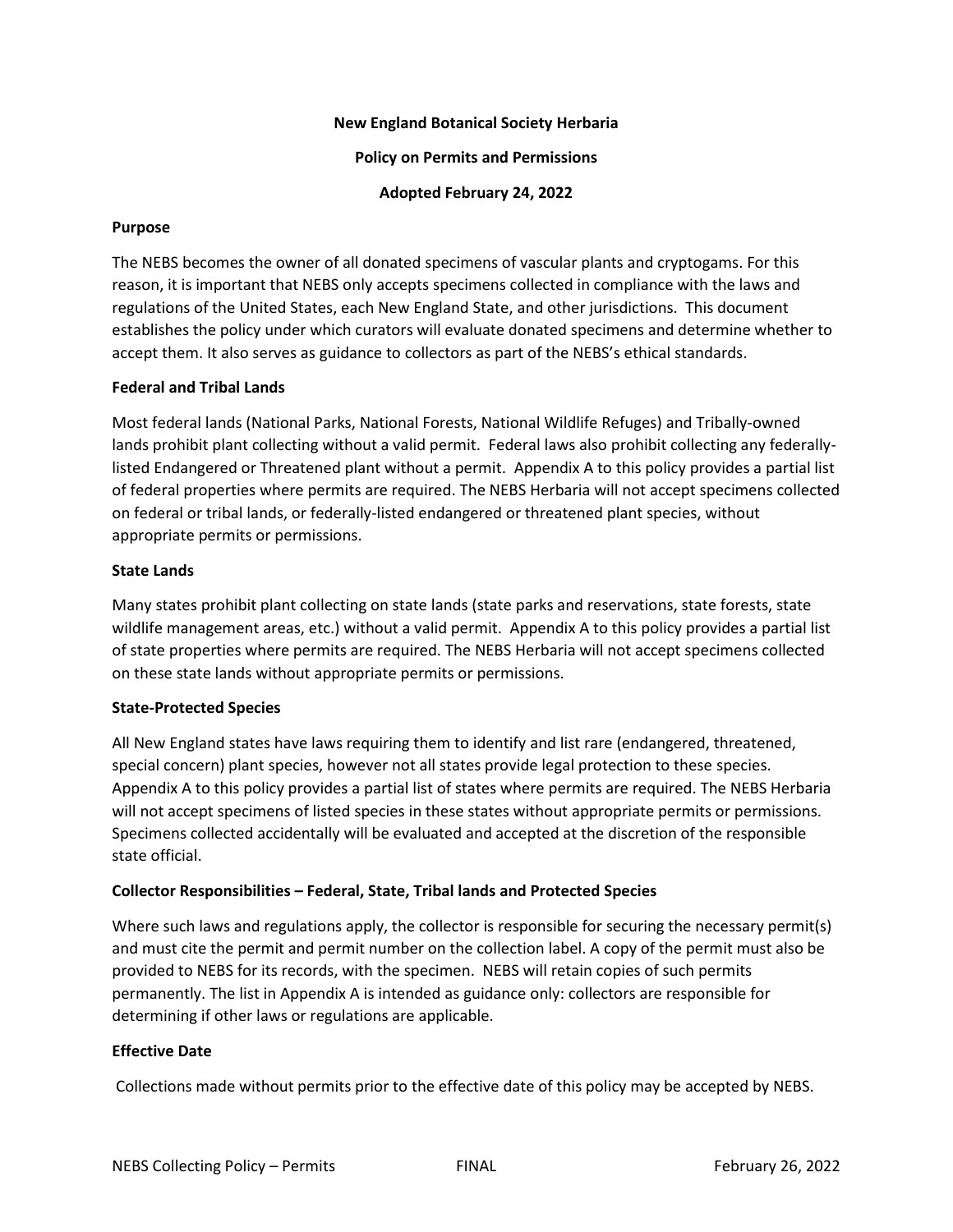## **New England Botanical Society Herbaria**

**Policy on Permits and Permissions**

**Adopted February 24, 2022**

## **Purpose**

The NEBS becomes the owner of all donated specimens of vascular plants and cryptogams. For this reason, it is important that NEBS only accepts specimens collected in compliance with the laws and regulations of the United States, each New England State, and other jurisdictions. This document establishes the policy under which curators will evaluate donated specimens and determine whether to accept them. It also serves as guidance to collectors as part of the NEBS's ethical standards.

# **Federal and Tribal Lands**

Most federal lands (National Parks, National Forests, National Wildlife Refuges) and Tribally-owned lands prohibit plant collecting without a valid permit. Federal laws also prohibit collecting any federallylisted Endangered or Threatened plant without a permit. Appendix A to this policy provides a partial list of federal properties where permits are required. The NEBS Herbaria will not accept specimens collected on federal or tribal lands, or federally-listed endangered or threatened plant species, without appropriate permits or permissions.

## **State Lands**

Many states prohibit plant collecting on state lands (state parks and reservations, state forests, state wildlife management areas, etc.) without a valid permit. Appendix A to this policy provides a partial list of state properties where permits are required. The NEBS Herbaria will not accept specimens collected on these state lands without appropriate permits or permissions.

# **State-Protected Species**

All New England states have laws requiring them to identify and list rare (endangered, threatened, special concern) plant species, however not all states provide legal protection to these species. Appendix A to this policy provides a partial list of states where permits are required. The NEBS Herbaria will not accept specimens of listed species in these states without appropriate permits or permissions. Specimens collected accidentally will be evaluated and accepted at the discretion of the responsible state official.

# **Collector Responsibilities – Federal, State, Tribal lands and Protected Species**

Where such laws and regulations apply, the collector is responsible for securing the necessary permit(s) and must cite the permit and permit number on the collection label. A copy of the permit must also be provided to NEBS for its records, with the specimen. NEBS will retain copies of such permits permanently. The list in Appendix A is intended as guidance only: collectors are responsible for determining if other laws or regulations are applicable.

# **Effective Date**

Collections made without permits prior to the effective date of this policy may be accepted by NEBS.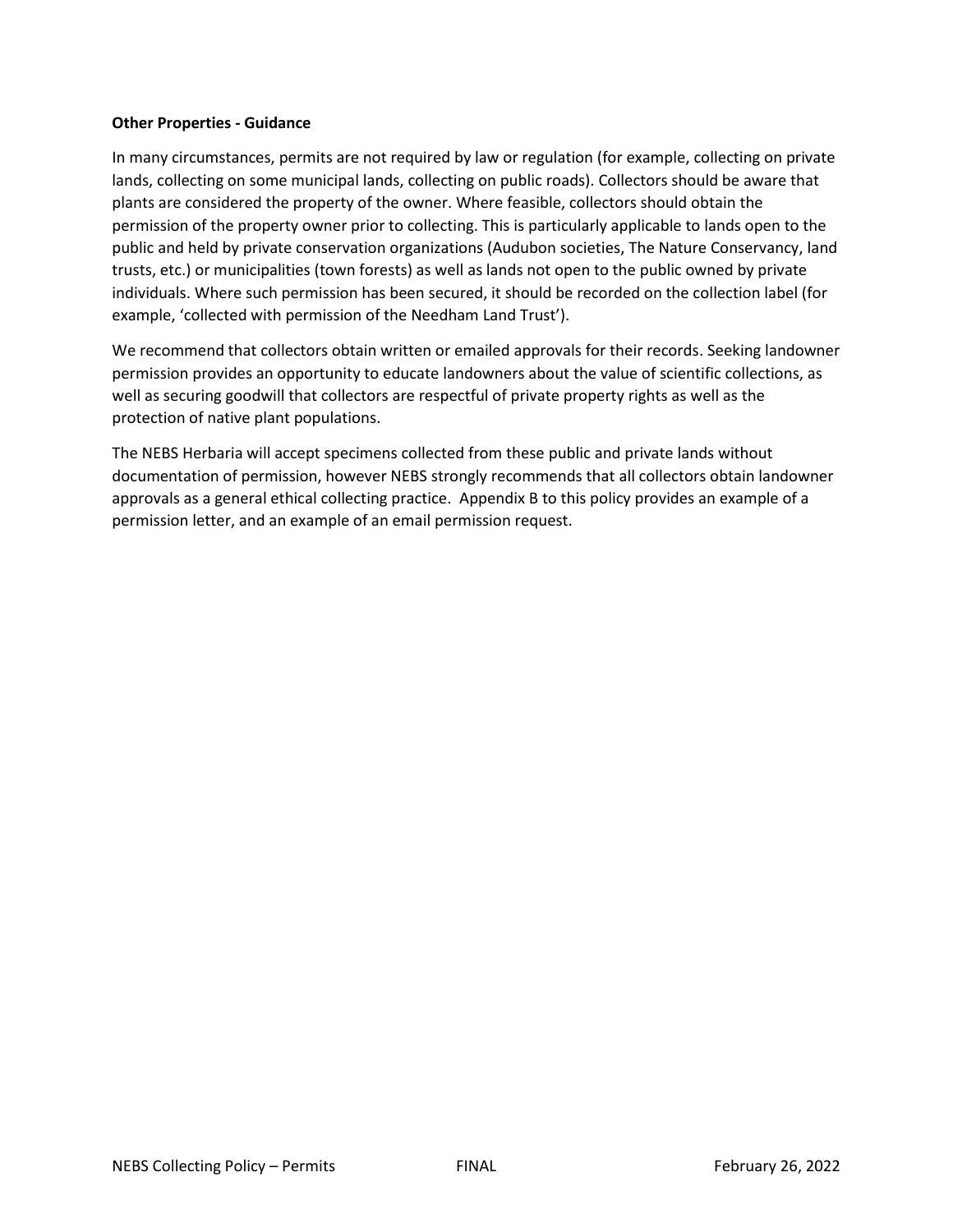# **Other Properties - Guidance**

In many circumstances, permits are not required by law or regulation (for example, collecting on private lands, collecting on some municipal lands, collecting on public roads). Collectors should be aware that plants are considered the property of the owner. Where feasible, collectors should obtain the permission of the property owner prior to collecting. This is particularly applicable to lands open to the public and held by private conservation organizations (Audubon societies, The Nature Conservancy, land trusts, etc.) or municipalities (town forests) as well as lands not open to the public owned by private individuals. Where such permission has been secured, it should be recorded on the collection label (for example, 'collected with permission of the Needham Land Trust').

We recommend that collectors obtain written or emailed approvals for their records. Seeking landowner permission provides an opportunity to educate landowners about the value of scientific collections, as well as securing goodwill that collectors are respectful of private property rights as well as the protection of native plant populations.

The NEBS Herbaria will accept specimens collected from these public and private lands without documentation of permission, however NEBS strongly recommends that all collectors obtain landowner approvals as a general ethical collecting practice. Appendix B to this policy provides an example of a permission letter, and an example of an email permission request.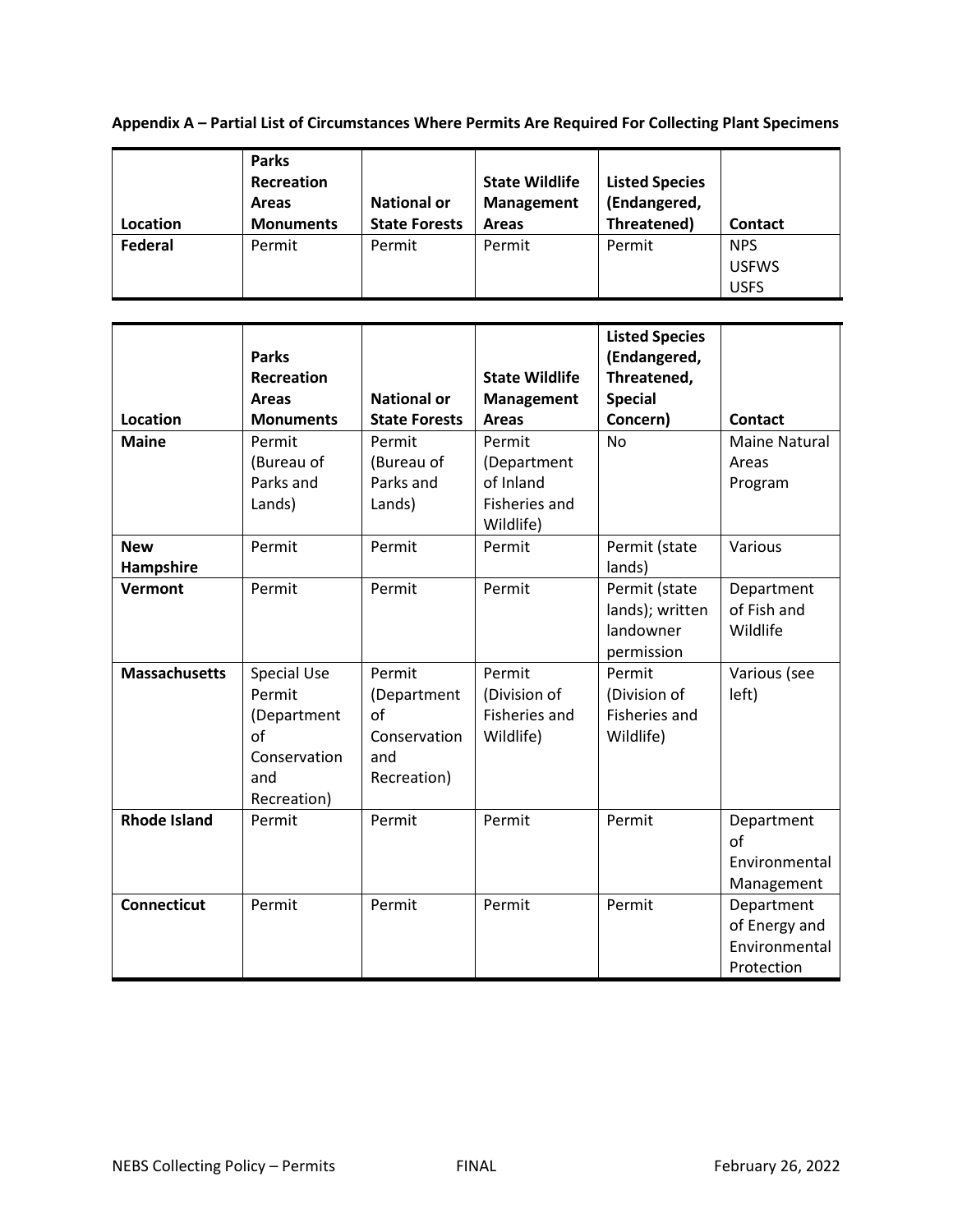**Appendix A – Partial List of Circumstances Where Permits Are Required For Collecting Plant Specimens**

|          | <b>Parks</b><br>Recreation<br><b>Areas</b> | <b>National or</b>   | <b>State Wildlife</b><br><b>Management</b> | <b>Listed Species</b><br>(Endangered, |                            |
|----------|--------------------------------------------|----------------------|--------------------------------------------|---------------------------------------|----------------------------|
| Location | <b>Monuments</b>                           | <b>State Forests</b> | <b>Areas</b>                               | Threatened)                           | <b>Contact</b>             |
| Federal  | Permit                                     | Permit               | Permit                                     | Permit                                | <b>NPS</b><br><b>USFWS</b> |
|          |                                            |                      |                                            |                                       | <b>USFS</b>                |

|                      | <b>Parks</b><br><b>Recreation</b> |                      | <b>State Wildlife</b>             | <b>Listed Species</b><br>(Endangered,<br>Threatened, |                      |
|----------------------|-----------------------------------|----------------------|-----------------------------------|------------------------------------------------------|----------------------|
|                      | <b>Areas</b>                      | <b>National or</b>   | <b>Management</b>                 | <b>Special</b>                                       |                      |
| <b>Location</b>      | <b>Monuments</b>                  | <b>State Forests</b> | <b>Areas</b>                      | Concern)                                             | <b>Contact</b>       |
| <b>Maine</b>         | Permit                            | Permit               | Permit                            | <b>No</b>                                            | <b>Maine Natural</b> |
|                      | (Bureau of                        | (Bureau of           | (Department                       |                                                      | Areas                |
|                      | Parks and                         | Parks and            | of Inland                         |                                                      | Program              |
|                      | Lands)                            | Lands)               | <b>Fisheries and</b><br>Wildlife) |                                                      |                      |
| <b>New</b>           | Permit                            | Permit               | Permit                            | Permit (state                                        | Various              |
| Hampshire            |                                   |                      |                                   | lands)                                               |                      |
| Vermont              | Permit                            | Permit               | Permit                            | Permit (state                                        | Department           |
|                      |                                   |                      |                                   | lands); written                                      | of Fish and          |
|                      |                                   |                      |                                   | landowner                                            | Wildlife             |
|                      |                                   |                      |                                   | permission                                           |                      |
| <b>Massachusetts</b> | <b>Special Use</b>                | Permit               | Permit                            | Permit                                               | Various (see         |
|                      | Permit                            | (Department          | (Division of                      | (Division of                                         | left)                |
|                      | (Department                       | of                   | Fisheries and                     | Fisheries and                                        |                      |
|                      | of                                | Conservation         | Wildlife)                         | Wildlife)                                            |                      |
|                      | Conservation                      | and                  |                                   |                                                      |                      |
|                      | and                               | Recreation)          |                                   |                                                      |                      |
|                      | Recreation)                       |                      |                                   |                                                      |                      |
| <b>Rhode Island</b>  | Permit                            | Permit               | Permit                            | Permit                                               | Department<br>of     |
|                      |                                   |                      |                                   |                                                      | Environmental        |
|                      |                                   |                      |                                   |                                                      | Management           |
| <b>Connecticut</b>   | Permit                            | Permit               | Permit                            | Permit                                               | Department           |
|                      |                                   |                      |                                   |                                                      | of Energy and        |
|                      |                                   |                      |                                   |                                                      | Environmental        |
|                      |                                   |                      |                                   |                                                      | Protection           |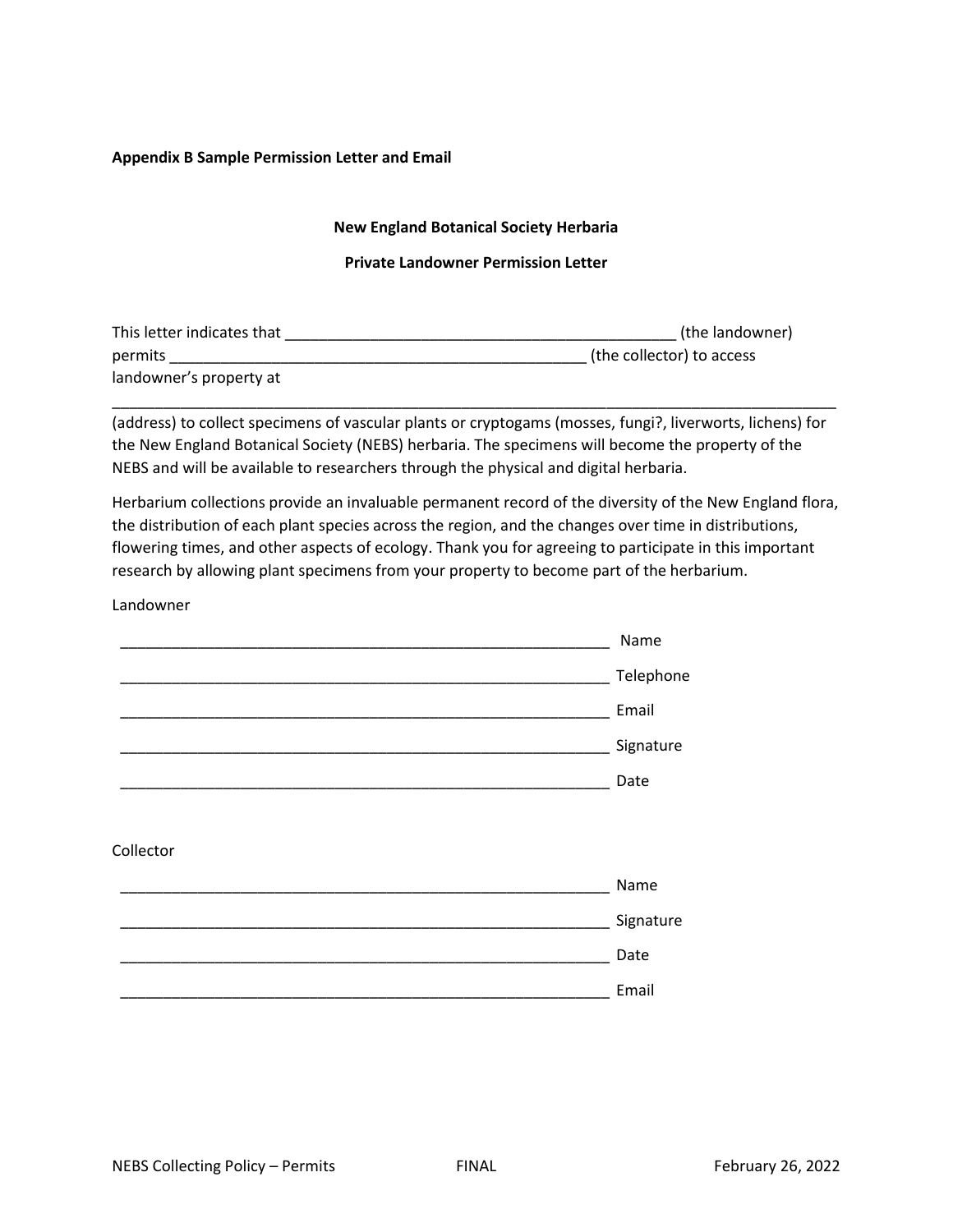## **Appendix B Sample Permission Letter and Email**

## **New England Botanical Society Herbaria**

#### **Private Landowner Permission Letter**

| This letter indicates that | (the landowner)           |  |  |
|----------------------------|---------------------------|--|--|
| permits                    | (the collector) to access |  |  |
| landowner's property at    |                           |  |  |

(address) to collect specimens of vascular plants or cryptogams (mosses, fungi?, liverworts, lichens) for the New England Botanical Society (NEBS) herbaria. The specimens will become the property of the NEBS and will be available to researchers through the physical and digital herbaria.

\_\_\_\_\_\_\_\_\_\_\_\_\_\_\_\_\_\_\_\_\_\_\_\_\_\_\_\_\_\_\_\_\_\_\_\_\_\_\_\_\_\_\_\_\_\_\_\_\_\_\_\_\_\_\_\_\_\_\_\_\_\_\_\_\_\_\_\_\_\_\_\_\_\_\_\_\_\_\_\_\_\_\_\_\_

Herbarium collections provide an invaluable permanent record of the diversity of the New England flora, the distribution of each plant species across the region, and the changes over time in distributions, flowering times, and other aspects of ecology. Thank you for agreeing to participate in this important research by allowing plant specimens from your property to become part of the herbarium.

#### Landowner

|           | Name      |
|-----------|-----------|
|           | Telephone |
|           | Email     |
|           | Signature |
|           | Date      |
|           |           |
| Collector |           |
|           | Name      |
|           | Signature |
|           | Date      |
|           | Email     |